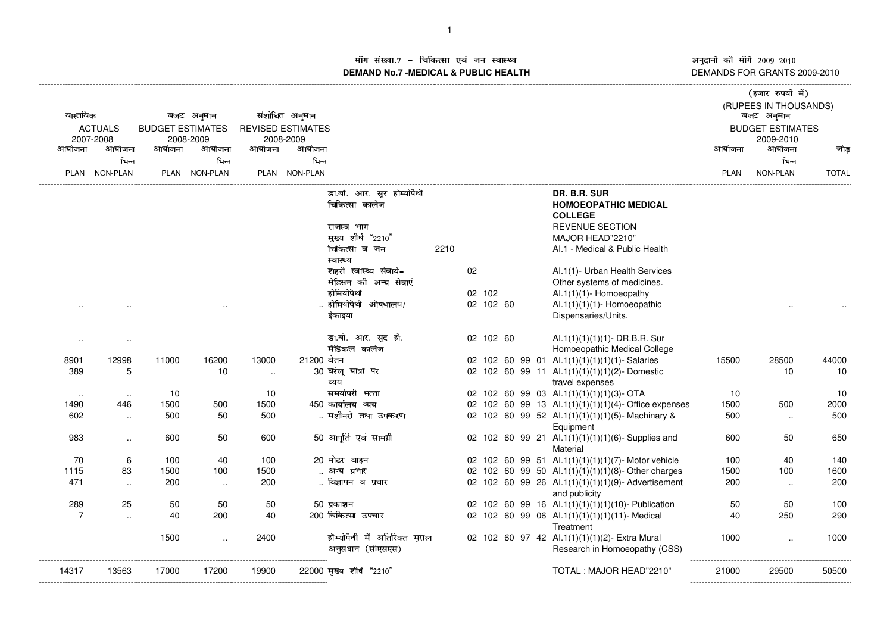ाँग संख्या.7 - चिकित्सा एवं जन स्वास्थ्य<br>IAND No.7 MEDICAL & DIIBLIC HEALTH **DEMAND No.7 -MEDICAL & PUBLIC HEALTH**

----------------------------------------------------------------------------------------------------------------------------------------------------------------------------------------------------------------------------------------------------------------------------

अनुदानों की माँगें 2009–2010<br>DEMANDS FOR GRANTS 2009-2010 -------------------

| वास्तविक<br><b>ACTUALS</b><br>2007-2008 |                      | बजट अनुमान<br><b>BUDGET ESTIMATES</b><br>2008-2009 |               |          | संशोधित अनुमान<br><b>REVISED ESTIMATES</b><br>2008-2009 |                                                                                                  |      |    |           |  |                                                                                                                                               | (हजार रुपयों में)<br>(RUPEES IN THOUSANDS)<br>बजट अनुमान<br><b>BUDGET ESTIMATES</b><br>2009-2010 |           |              |
|-----------------------------------------|----------------------|----------------------------------------------------|---------------|----------|---------------------------------------------------------|--------------------------------------------------------------------------------------------------|------|----|-----------|--|-----------------------------------------------------------------------------------------------------------------------------------------------|--------------------------------------------------------------------------------------------------|-----------|--------------|
| आयोजना                                  | आयोजना               | आयोजना                                             | आयोजना        | आयोजना   | आयोजना                                                  |                                                                                                  |      |    |           |  |                                                                                                                                               | आयोजना                                                                                           | आयोजना    | जोड          |
|                                         | भिन्न                |                                                    | भिन्न         |          | भिन्न                                                   |                                                                                                  |      |    |           |  |                                                                                                                                               |                                                                                                  | भिन्न     |              |
|                                         | PLAN NON-PLAN        |                                                    | PLAN NON-PLAN |          | PLAN NON-PLAN                                           |                                                                                                  |      |    |           |  |                                                                                                                                               | <b>PLAN</b>                                                                                      | NON-PLAN  | <b>TOTAL</b> |
|                                         |                      |                                                    |               |          |                                                         | डा.बी. आर. सूर होम्योपैथी<br>चिकित्सा कालेज<br>राजस्व भाग<br>मुख्य शीर्ष "2210"<br>चिकित्सा व जन | 2210 |    |           |  | DR. B.R. SUR<br><b>HOMOEOPATHIC MEDICAL</b><br><b>COLLEGE</b><br><b>REVENUE SECTION</b><br>MAJOR HEAD"2210"<br>Al.1 - Medical & Public Health |                                                                                                  |           |              |
|                                         |                      |                                                    |               |          |                                                         | स्वास्थ्य                                                                                        |      |    |           |  |                                                                                                                                               |                                                                                                  |           |              |
|                                         |                      |                                                    |               |          |                                                         | शहरी स्वास्थ्य सेवायें-<br>मेडिसन की अन्य सेवाएं                                                 |      | 02 |           |  | Al.1(1)- Urban Health Services                                                                                                                |                                                                                                  |           |              |
|                                         |                      |                                                    |               |          |                                                         | होमियोपैथी                                                                                       |      |    | 02 102    |  | Other systems of medicines.<br>$AI.1(1)(1)$ - Homoeopathy                                                                                     |                                                                                                  |           |              |
|                                         |                      |                                                    |               |          |                                                         | होमियोपैथी औषधालय/                                                                               |      |    | 02 102 60 |  | $AI.1(1)(1)(1)$ - Homoeopathic                                                                                                                |                                                                                                  |           |              |
|                                         |                      |                                                    |               |          |                                                         | इंकाइया                                                                                          |      |    |           |  | Dispensaries/Units.                                                                                                                           |                                                                                                  |           |              |
| $\ddotsc$                               | $\sim$               |                                                    |               |          |                                                         | डा.बी. आर. सूद हो.<br>मैडिकल कालेज                                                               |      |    | 02 102 60 |  | Al.1(1)(1)(1)(1)- DR.B.R. Sur<br>Homoeopathic Medical College                                                                                 |                                                                                                  |           |              |
| 8901                                    | 12998                | 11000                                              | 16200         | 13000    | 21200 वेतन                                              |                                                                                                  |      |    |           |  | 02 102 60 99 01 Al.1(1)(1)(1)(1)(1)- Salaries                                                                                                 | 15500                                                                                            | 28500     | 44000        |
| 389                                     | 5                    |                                                    | 10            | $\ldots$ |                                                         | 30 घरेलू यात्रा पर<br>व्यय                                                                       |      |    |           |  | 02 102 60 99 11 Al.1(1)(1)(1)(1)(2)-Domestic<br>travel expenses                                                                               |                                                                                                  | 10        | 10           |
| $\sim$                                  | $\ddotsc$            | 10                                                 |               | 10       |                                                         | समयोपरी भत्ता                                                                                    |      |    |           |  | 02 102 60 99 03 Al.1(1)(1)(1)(1)(3)- OTA                                                                                                      | 10                                                                                               |           | 10           |
| 1490                                    | 446                  | 1500                                               | 500           | 1500     |                                                         | 450 कार्यालय व्यय                                                                                |      |    |           |  | 02 102 60 99 13 Al.1(1)(1)(1)(1)(4)-Office expenses                                                                                           | 1500                                                                                             | 500       | 2000         |
| 602                                     | $\sim$               | 500                                                | 50            | 500      |                                                         | मशीनरी तथा उपकरण                                                                                 |      |    |           |  | 02 102 60 99 52 Al.1(1)(1)(1)(1)(5)- Machinary &<br>Equipment                                                                                 | 500                                                                                              | $\sim$    | 500          |
| 983                                     | $\ddotsc$            | 600                                                | 50            | 600      |                                                         | 50 आपूर्ति एवं सामग्री                                                                           |      |    |           |  | 02 102 60 99 21 Al.1(1)(1)(1)(1)(6)-Supplies and<br>Material                                                                                  | 600                                                                                              | 50        | 650          |
| 70                                      | 6                    | 100                                                | 40            | 100      |                                                         | 20 मोटर वाहन                                                                                     |      |    |           |  | 02 102 60 99 51 Al.1(1)(1)(1)(1)(7)- Motor vehicle                                                                                            | 100                                                                                              | 40        | 140          |
| 1115                                    | 83                   | 1500                                               | 100           | 1500     |                                                         | अन्य प्रभार                                                                                      |      |    |           |  | 02 102 60 99 50 Al.1(1)(1)(1)(1)(8)- Other charges                                                                                            | 1500                                                                                             | 100       | 1600         |
| 471                                     | $\ldots$             | 200                                                | $\sim$        | 200      |                                                         | विज्ञापन व प्रचार                                                                                |      |    |           |  | 02 102 60 99 26 Al.1(1)(1)(1)(1)(9)- Advertisement<br>and publicity                                                                           | 200                                                                                              | $\ddotsc$ | 200          |
| 289                                     | 25                   | 50                                                 | 50            | 50       |                                                         | 50 प्रकाशन                                                                                       |      |    |           |  | 02 102 60 99 16 Al.1(1)(1)(1)(1)(10)- Publication                                                                                             | 50                                                                                               | 50        | 100          |
| $\overline{7}$                          | $\ddot{\phantom{a}}$ | 40                                                 | 200           | 40       |                                                         | 200 चिकित्सा उपचार                                                                               |      |    |           |  | 02 102 60 99 06 Al.1(1)(1)(1)(1)(11)- Medical<br>Treatment                                                                                    | 40                                                                                               | 250       | 290          |
|                                         |                      | 1500                                               | $\sim$        | 2400     |                                                         | हौम्योपैथी में अतिरिक्त मुराल<br>अनुसंधान (सीएसएस)                                               |      |    |           |  | 02 102 60 97 42 Al.1(1)(1)(1)(2)- Extra Mural<br>Research in Homoeopathy (CSS)                                                                | 1000                                                                                             | $\sim$    | 1000         |
| 14317                                   | 13563                | 17000                                              | 17200         | 19900    |                                                         | 22000 मुख्य शीर्ष "2210"                                                                         |      |    |           |  | TOTAL: MAJOR HEAD"2210"                                                                                                                       | 21000                                                                                            | 29500     | 50500        |